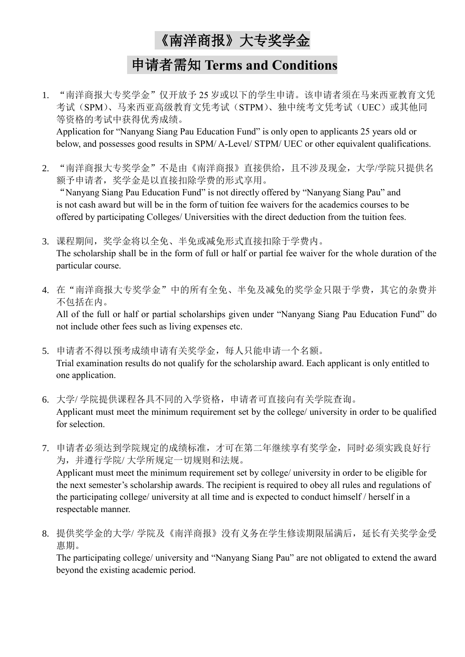## 《南洋商报》大专奖学金

## 申请者需知 **Terms and Conditions**

1. "南洋商报大专奖学金"仅开放予 25 岁或以下的学生申请。该申请者须在马来西亚教育文凭 考试(SPM)、马来西亚高级教育文凭考试(STPM)、独中统考文凭考试(UEC)或其他同 等资格的考试中获得优秀成绩。 Application for "Nanyang Siang Pau Education Fund" is only open to applicants 25 years old or

below, and possesses good results in SPM/ A-Level/ STPM/ UEC or other equivalent qualifications.

2. "南洋商报大专奖学金"不是由《南洋商报》直接供给,且不涉及现金,大学/学院只提供名 额予申请者,奖学金是以直接扣除学费的形式享用。

"Nanyang Siang Pau Education Fund" is not directly offered by "Nanyang Siang Pau" and is not cash award but will be in the form of tuition fee waivers for the academics courses to be offered by participating Colleges/ Universities with the direct deduction from the tuition fees.

- 3. 课程期间,奖学金将以全免、半免或减免形式直接扣除于学费内。 The scholarship shall be in the form of full or half or partial fee waiver for the whole duration of the particular course.
- 4. 在"南洋商报大专奖学金"中的所有全免、半免及减免的奖学金只限于学费,其它的杂费并 不包括在内。

All of the full or half or partial scholarships given under "Nanyang Siang Pau Education Fund" do not include other fees such as living expenses etc.

- 5. 申请者不得以预考成绩申请有关奖学金,每人只能申请一个名额。 Trial examination results do not qualify for the scholarship award. Each applicant is only entitled to one application.
- 6. 大学/ 学院提供课程各具不同的入学资格,申请者可直接向有关学院查询。 Applicant must meet the minimum requirement set by the college/ university in order to be qualified for selection.
- 7. 申请者必须达到学院规定的成绩标准,才可在第二年继续享有奖学金,同时必须实践良好行 为,并遵行学院/ 大学所规定一切规则和法规。

Applicant must meet the minimum requirement set by college/ university in order to be eligible for the next semester's scholarship awards. The recipient is required to obey all rules and regulations of the participating college/ university at all time and is expected to conduct himself / herself in a respectable manner.

8. 提供奖学金的大学/ 学院及《南洋商报》没有义务在学生修读期限届满后,延长有关奖学金受 惠期。

The participating college/ university and "Nanyang Siang Pau" are not obligated to extend the award beyond the existing academic period.